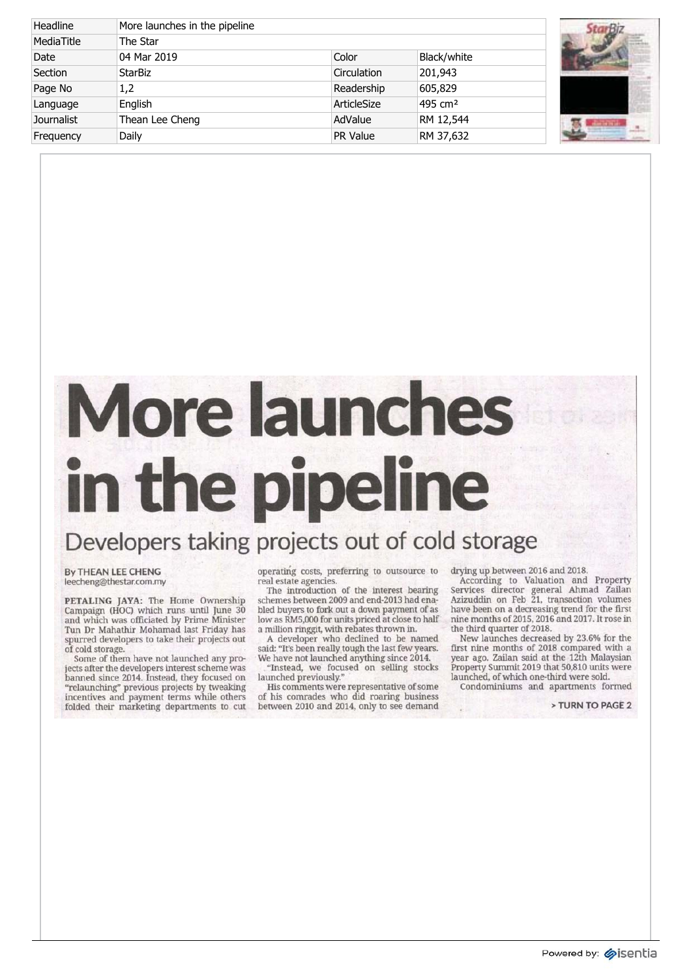| Headline          | More launches in the pipeline |             |                     |  |
|-------------------|-------------------------------|-------------|---------------------|--|
| MediaTitle        | The Star                      |             |                     |  |
| Date              | 04 Mar 2019                   | Color       | Black/white         |  |
| Section           | <b>StarBiz</b>                | Circulation | 201,943             |  |
| Page No           | 1,2                           | Readership  | 605,829             |  |
| Language          | English                       | ArticleSize | 495 cm <sup>2</sup> |  |
| <b>Journalist</b> | Thean Lee Cheng               | AdValue     | RM 12,544           |  |
| Frequency         | Daily                         | PR Value    | RM 37,632           |  |



## **Mor e launches i n th e pipeline**

## Developer s takin g project s ou t o f col d storage

**By THEAN LEE CHENG** leecheng@thestar.com.my

**PETALIN G JAYA :** Th e Hom e Ownership Campaig n (HOC ) whic h run s unti l Jun e 30 an d whic h wa s officiate d b y Prim e Minister Tu n D r Mahathi r Mohama d las t Frida y has spurre d developer s t o tak e thei r project s out o f col d storage.

Som e o f the m hav e no t launche d an y pro ject s afte r th e developer s interes t schem e was banne d sinc e 2014. Instead , the y focuse d on "relaunching " previou s project s b y tweaking incentive s an d paymen t term s whil e others folde d thei r marketin g department s t o cut

operatin g costs , preferrin g t o outsourc e to rea l estat e agencies.

Th e introductio n o f th e interes t bearing scheme s betwee n 200 9 an d end-201 3 ha d ena ble d buyer s t o for k ou t a dow n paymen t o f as lo w a s RM5,00 0 fo r unit s price d a t clos e t o half a millio n ringgit , wit h rebate s throw n in.

A developer who declined to be named said: "It' s bee n reall y toug h th e las t fe w years. W e hav e no t launche d anythin g sinc e 2014.

"Instead , w e focuse d o n sellin g stocks launche d previously."

Hi s comment s wer e representativ e o f some o f hi s comrade s wh o di d roarin g business betwee n 201 0 an d 2014 , onl y t o se e demand dryin g u p betwee n 201 6 an d 2018.

Accordin g t o Valuatio n an d Property Service s directo r genera l Ahma d Zailan Azizuddi n o n Fe b 21 , transactio n volumes hav e bee n o n a decreasin g tren d fo r th e first nin e month s o f 2015,201 6 an d 2017. I t ros e in th e thir d quarte r o f 2018.

Ne w launche s decrease d b y 23.6 % fo r the first nine months of 2018 compared with a yea r ago. Zaila n sai d a t th e 12t h Malaysian Property Summit 2019 that 50,810 units were launched , o f whic h one-thir d wer e sold.

Condominium s an d apartment s formed

**> TUR N T O PAG E 2**